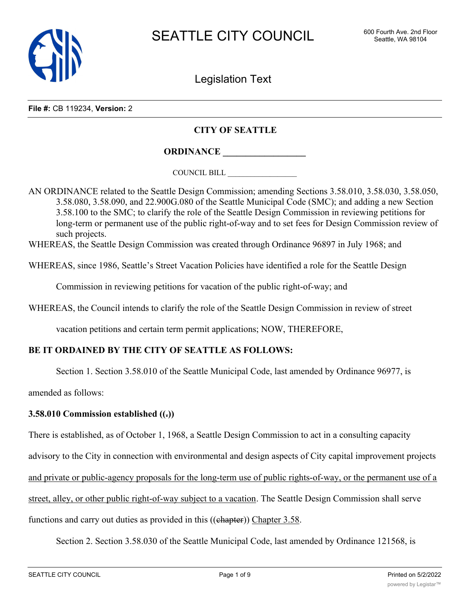

Legislation Text

**File #:** CB 119234, **Version:** 2

#### **CITY OF SEATTLE**

**ORDINANCE \_\_\_\_\_\_\_\_\_\_\_\_\_\_\_\_\_\_**

COUNCIL BILL \_\_\_\_\_\_\_\_\_\_\_\_\_\_\_\_\_\_

AN ORDINANCE related to the Seattle Design Commission; amending Sections 3.58.010, 3.58.030, 3.58.050, 3.58.080, 3.58.090, and 22.900G.080 of the Seattle Municipal Code (SMC); and adding a new Section 3.58.100 to the SMC; to clarify the role of the Seattle Design Commission in reviewing petitions for long-term or permanent use of the public right-of-way and to set fees for Design Commission review of such projects.

WHEREAS, the Seattle Design Commission was created through Ordinance 96897 in July 1968; and

WHEREAS, since 1986, Seattle's Street Vacation Policies have identified a role for the Seattle Design

Commission in reviewing petitions for vacation of the public right-of-way; and

WHEREAS, the Council intends to clarify the role of the Seattle Design Commission in review of street

vacation petitions and certain term permit applications; NOW, THEREFORE,

# **BE IT ORDAINED BY THE CITY OF SEATTLE AS FOLLOWS:**

Section 1. Section 3.58.010 of the Seattle Municipal Code, last amended by Ordinance 96977, is

amended as follows:

#### **3.58.010 Commission established ((.))**

There is established, as of October 1, 1968, a Seattle Design Commission to act in a consulting capacity

advisory to the City in connection with environmental and design aspects of City capital improvement projects

and private or public-agency proposals for the long-term use of public rights-of-way, or the permanent use of a

street, alley, or other public right-of-way subject to a vacation. The Seattle Design Commission shall serve

functions and carry out duties as provided in this ((ehapter)) Chapter 3.58.

Section 2. Section 3.58.030 of the Seattle Municipal Code, last amended by Ordinance 121568, is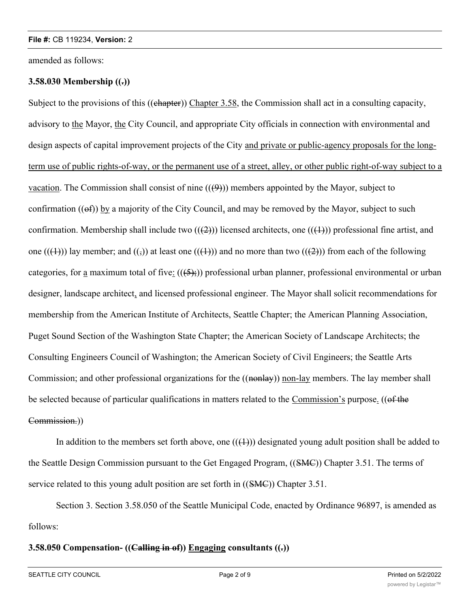amended as follows:

# **3.58.030 Membership ((.))**

Subject to the provisions of this ((chapter)) Chapter 3.58, the Commission shall act in a consulting capacity, advisory to the Mayor, the City Council, and appropriate City officials in connection with environmental and design aspects of capital improvement projects of the City and private or public-agency proposals for the longterm use of public rights-of-way, or the permanent use of a street, alley, or other public right-of-way subject to a vacation. The Commission shall consist of nine  $((4)$ ) members appointed by the Mayor, subject to confirmation  $((ef))$  by a majority of the City Council, and may be removed by the Mayor, subject to such confirmation. Membership shall include two  $((2))$  licensed architects, one  $((1))$  professional fine artist, and one  $((+))$  lay member; and  $((,))$  at least one  $((+))$  and no more than two  $((+2))$  from each of the following categories, for a maximum total of five:  $((5,))$  professional urban planner, professional environmental or urban designer, landscape architect, and licensed professional engineer. The Mayor shall solicit recommendations for membership from the American Institute of Architects, Seattle Chapter; the American Planning Association, Puget Sound Section of the Washington State Chapter; the American Society of Landscape Architects; the Consulting Engineers Council of Washington; the American Society of Civil Engineers; the Seattle Arts Commission; and other professional organizations for the ((nonlay)) non-lay members. The lay member shall be selected because of particular qualifications in matters related to the Commission's purpose. ((of the Commission.))

In addition to the members set forth above, one  $((+))$  designated young adult position shall be added to the Seattle Design Commission pursuant to the Get Engaged Program, ((SMC)) Chapter 3.51. The terms of service related to this young adult position are set forth in ((SMC)) Chapter 3.51.

Section 3. Section 3.58.050 of the Seattle Municipal Code, enacted by Ordinance 96897, is amended as follows:

## **3.58.050 Compensation- ((Calling in of)) Engaging consultants ((.))**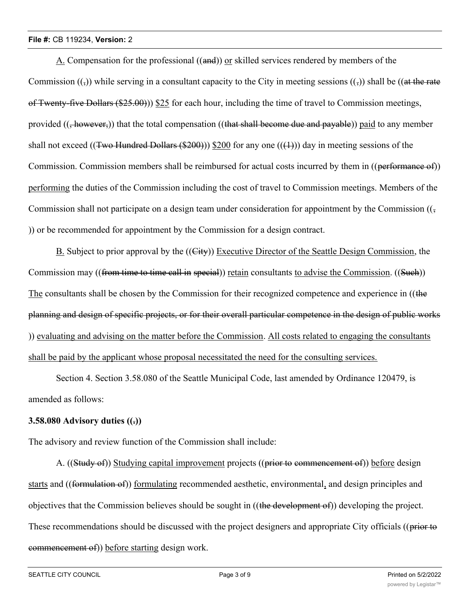A. Compensation for the professional ((and)) or skilled services rendered by members of the Commission  $(\cdot, \cdot)$  while serving in a consultant capacity to the City in meeting sessions  $(\cdot, \cdot)$  shall be ((at the rate of Twenty-five Dollars  $(\$25.00)$ )  $\$25$  for each hour, including the time of travel to Commission meetings, provided  $((\frac{1}{2}however))$  that the total compensation  $((\frac{1}{2}hawear)$  become due and payable)) paid to any member shall not exceed ((Two Hundred Dollars (\$200))) \$200 for any one  $((+))$  day in meeting sessions of the Commission. Commission members shall be reimbursed for actual costs incurred by them in ((performance of)) performing the duties of the Commission including the cost of travel to Commission meetings. Members of the Commission shall not participate on a design team under consideration for appointment by the Commission  $((\frac{1}{2})^2)(\frac{1}{2})^2$ )) or be recommended for appointment by the Commission for a design contract.

B. Subject to prior approval by the ((City)) Executive Director of the Seattle Design Commission, the Commission may ((from time to time call in special)) retain consultants to advise the Commission. ((Such)) The consultants shall be chosen by the Commission for their recognized competence and experience in ((the planning and design of specific projects, or for their overall particular competence in the design of public works )) evaluating and advising on the matter before the Commission. All costs related to engaging the consultants shall be paid by the applicant whose proposal necessitated the need for the consulting services.

Section 4. Section 3.58.080 of the Seattle Municipal Code, last amended by Ordinance 120479, is amended as follows:

## **3.58.080 Advisory duties ((.))**

The advisory and review function of the Commission shall include:

A. ((Study of)) Studying capital improvement projects ((prior to commencement of)) before design starts and ((formulation of)) formulating recommended aesthetic, environmental, and design principles and objectives that the Commission believes should be sought in ((the development of)) developing the project. These recommendations should be discussed with the project designers and appropriate City officials ((prior to commencement of)) before starting design work.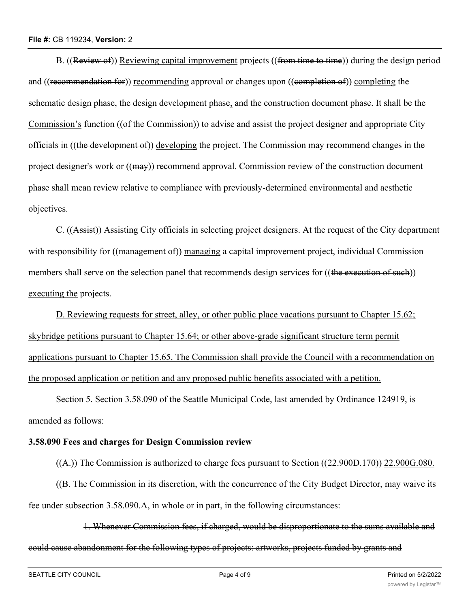#### **File #:** CB 119234, **Version:** 2

B. ((Review of)) Reviewing capital improvement projects ((from time to time)) during the design period and ((recommendation for)) recommending approval or changes upon ((completion of)) completing the schematic design phase, the design development phase, and the construction document phase. It shall be the Commission's function ((of the Commission)) to advise and assist the project designer and appropriate City officials in ((the development of)) developing the project. The Commission may recommend changes in the project designer's work or ((may)) recommend approval. Commission review of the construction document phase shall mean review relative to compliance with previously-determined environmental and aesthetic objectives.

C. ((Assist)) Assisting City officials in selecting project designers. At the request of the City department with responsibility for ((management of)) managing a capital improvement project, individual Commission members shall serve on the selection panel that recommends design services for ((the execution of such)) executing the projects.

D. Reviewing requests for street, alley, or other public place vacations pursuant to Chapter 15.62; skybridge petitions pursuant to Chapter 15.64; or other above-grade significant structure term permit applications pursuant to Chapter 15.65. The Commission shall provide the Council with a recommendation on the proposed application or petition and any proposed public benefits associated with a petition.

Section 5. Section 3.58.090 of the Seattle Municipal Code, last amended by Ordinance 124919, is amended as follows:

## **3.58.090 Fees and charges for Design Commission review**

 $((A))$  The Commission is authorized to charge fees pursuant to Section  $((22.900D.170))$  22.900G.080.

((B. The Commission in its discretion, with the concurrence of the City Budget Director, may waive its fee under subsection 3.58.090.A, in whole or in part, in the following circumstances:

1. Whenever Commission fees, if charged, would be disproportionate to the sums available and could cause abandonment for the following types of projects: artworks, projects funded by grants and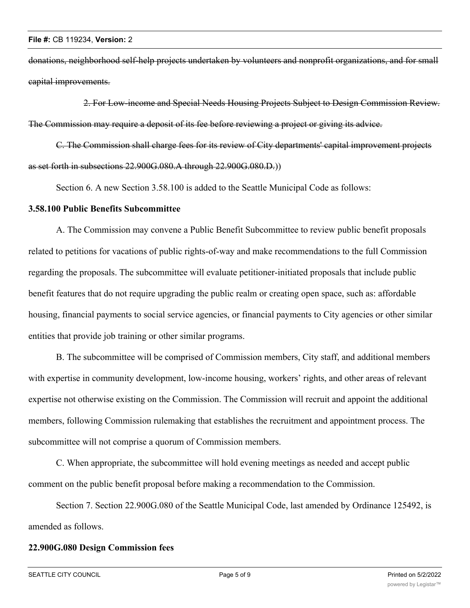donations, neighborhood self-help projects undertaken by volunteers and nonprofit organizations, and for small capital improvements.

2. For Low-income and Special Needs Housing Projects Subject to Design Commission Review. The Commission may require a deposit of its fee before reviewing a project or giving its advice.

C. The Commission shall charge fees for its review of City departments' capital improvement projects as set forth in subsections 22.900G.080.A through 22.900G.080.D.))

Section 6. A new Section 3.58.100 is added to the Seattle Municipal Code as follows:

#### **3.58.100 Public Benefits Subcommittee**

A. The Commission may convene a Public Benefit Subcommittee to review public benefit proposals related to petitions for vacations of public rights-of-way and make recommendations to the full Commission regarding the proposals. The subcommittee will evaluate petitioner-initiated proposals that include public benefit features that do not require upgrading the public realm or creating open space, such as: affordable housing, financial payments to social service agencies, or financial payments to City agencies or other similar entities that provide job training or other similar programs.

B. The subcommittee will be comprised of Commission members, City staff, and additional members with expertise in community development, low-income housing, workers' rights, and other areas of relevant expertise not otherwise existing on the Commission. The Commission will recruit and appoint the additional members, following Commission rulemaking that establishes the recruitment and appointment process. The subcommittee will not comprise a quorum of Commission members.

C. When appropriate, the subcommittee will hold evening meetings as needed and accept public comment on the public benefit proposal before making a recommendation to the Commission.

Section 7. Section 22.900G.080 of the Seattle Municipal Code, last amended by Ordinance 125492, is amended as follows.

## **22.900G.080 Design Commission fees**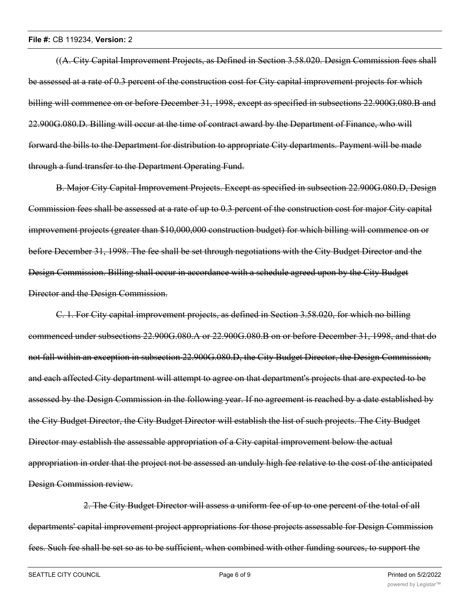((A. City Capital Improvement Projects, as Defined in Section 3.58.020. Design Commission fees shall be assessed at a rate of 0.3 percent of the construction cost for City capital improvement projects for which billing will commence on or before December 31, 1998, except as specified in subsections 22.900G.080.B and 22.900G.080.D. Billing will occur at the time of contract award by the Department of Finance, who will forward the bills to the Department for distribution to appropriate City departments. Payment will be made through a fund transfer to the Department Operating Fund.

B. Major City Capital Improvement Projects. Except as specified in subsection 22.900G.080.D, Design Commission fees shall be assessed at a rate of up to 0.3 percent of the construction cost for major City capital improvement projects (greater than \$10,000,000 construction budget) for which billing will commence on or before December 31, 1998. The fee shall be set through negotiations with the City Budget Director and the Design Commission. Billing shall occur in accordance with a schedule agreed upon by the City Budget Director and the Design Commission.

C. 1. For City capital improvement projects, as defined in Section 3.58.020, for which no billing commenced under subsections 22.900G.080.A or 22.900G.080.B on or before December 31, 1998, and that do not fall within an exception in subsection 22.900G.080.D, the City Budget Director, the Design Commission, and each affected City department will attempt to agree on that department's projects that are expected to be assessed by the Design Commission in the following year. If no agreement is reached by a date established by the City Budget Director, the City Budget Director will establish the list of such projects. The City Budget Director may establish the assessable appropriation of a City capital improvement below the actual appropriation in order that the project not be assessed an unduly high fee relative to the cost of the anticipated Design Commission review.

2. The City Budget Director will assess a uniform fee of up to one percent of the total of all departments' capital improvement project appropriations for those projects assessable for Design Commission fees. Such fee shall be set so as to be sufficient, when combined with other funding sources, to support the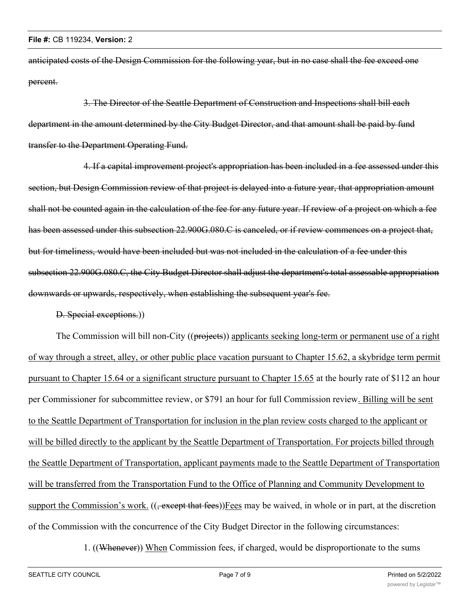anticipated costs of the Design Commission for the following year, but in no case shall the fee exceed one percent.

3. The Director of the Seattle Department of Construction and Inspections shall bill each department in the amount determined by the City Budget Director, and that amount shall be paid by fund transfer to the Department Operating Fund.

4. If a capital improvement project's appropriation has been included in a fee assessed under this section, but Design Commission review of that project is delayed into a future year, that appropriation amount shall not be counted again in the calculation of the fee for any future year. If review of a project on which a fee has been assessed under this subsection 22.900G.080.C is canceled, or if review commences on a project that, but for timeliness, would have been included but was not included in the calculation of a fee under this subsection 22.900G.080.C, the City Budget Director shall adjust the department's total assessable appropriation downwards or upwards, respectively, when establishing the subsequent year's fee.

D. Special exceptions.))

The Commission will bill non-City ((projects)) applicants seeking long-term or permanent use of a right of way through a street, alley, or other public place vacation pursuant to Chapter 15.62, a skybridge term permit pursuant to Chapter 15.64 or a significant structure pursuant to Chapter 15.65 at the hourly rate of \$112 an hour per Commissioner for subcommittee review, or \$791 an hour for full Commission review. Billing will be sent to the Seattle Department of Transportation for inclusion in the plan review costs charged to the applicant or will be billed directly to the applicant by the Seattle Department of Transportation. For projects billed through the Seattle Department of Transportation, applicant payments made to the Seattle Department of Transportation will be transferred from the Transportation Fund to the Office of Planning and Community Development to support the Commission's work. ((, except that fees))Fees may be waived, in whole or in part, at the discretion of the Commission with the concurrence of the City Budget Director in the following circumstances:

1. ((Whenever)) When Commission fees, if charged, would be disproportionate to the sums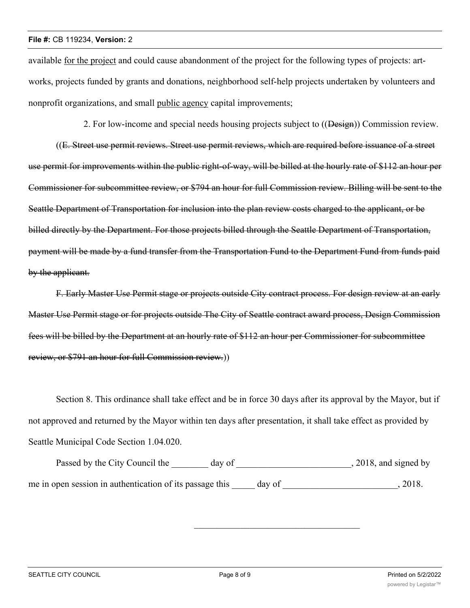available for the project and could cause abandonment of the project for the following types of projects: artworks, projects funded by grants and donations, neighborhood self-help projects undertaken by volunteers and nonprofit organizations, and small public agency capital improvements;

2. For low-income and special needs housing projects subject to ((Design)) Commission review.

((E. Street use permit reviews. Street use permit reviews, which are required before issuance of a street use permit for improvements within the public right-of-way, will be billed at the hourly rate of \$112 an hour per Commissioner for subcommittee review, or \$794 an hour for full Commission review. Billing will be sent to the Seattle Department of Transportation for inclusion into the plan review costs charged to the applicant, or be billed directly by the Department. For those projects billed through the Seattle Department of Transportation, payment will be made by a fund transfer from the Transportation Fund to the Department Fund from funds paid by the applicant.

F. Early Master Use Permit stage or projects outside City contract process. For design review at an early Master Use Permit stage or for projects outside The City of Seattle contract award process, Design Commission fees will be billed by the Department at an hourly rate of \$112 an hour per Commissioner for subcommittee review, or \$791 an hour for full Commission review.))

Section 8. This ordinance shall take effect and be in force 30 days after its approval by the Mayor, but if not approved and returned by the Mayor within ten days after presentation, it shall take effect as provided by Seattle Municipal Code Section 1.04.020.

Passed by the City Council the \_\_\_\_\_\_\_ day of \_\_\_\_\_\_\_\_\_\_\_\_\_\_\_\_\_\_\_\_\_\_\_\_, 2018, and signed by me in open session in authentication of its passage this day of  $\qquad \qquad$ , 2018.